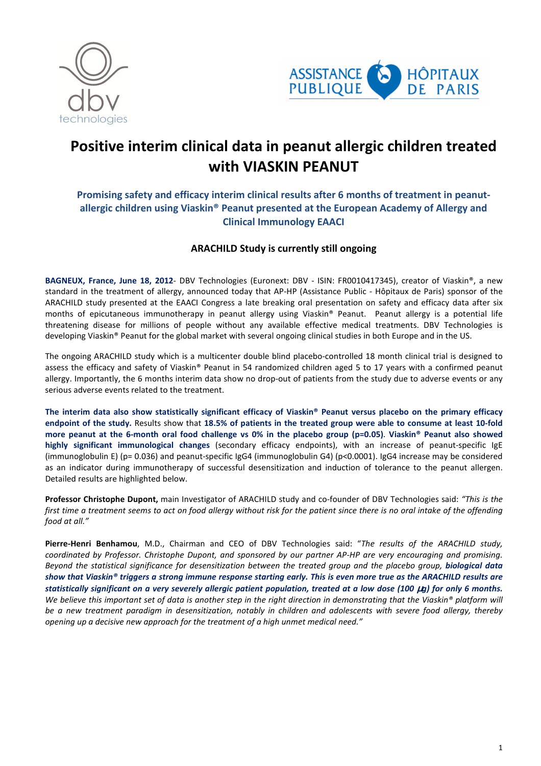



# **Positive interim clinical data in peanut allergic children treated with VIASKIN PEANUT**

# **Promising safety and efficacy interim clinical results after 6 months of treatment in peanutallergic children using Viaskin® Peanut presented at the European Academy of Allergy and Clinical Immunology EAACI**

# **ARACHILD Study is currently still ongoing**

**BAGNEUX, France, June 18, 2012**- DBV Technologies (Euronext: DBV - ISIN: FR0010417345), creator of Viaskin®, a new standard in the treatment of allergy, announced today that AP-HP (Assistance Public - Hôpitaux de Paris) sponsor of the ARACHILD study presented at the EAACI Congress a late breaking oral presentation on safety and efficacy data after six months of epicutaneous immunotherapy in peanut allergy using Viaskin® Peanut. Peanut allergy is a potential life threatening disease for millions of people without any available effective medical treatments. DBV Technologies is developing Viaskin® Peanut for the global market with several ongoing clinical studies in both Europe and in the US.

The ongoing ARACHILD study which is a multicenter double blind placebo-controlled 18 month clinical trial is designed to assess the efficacy and safety of Viaskin® Peanut in 54 randomized children aged 5 to 17 years with a confirmed peanut allergy. Importantly, the 6 months interim data show no drop-out of patients from the study due to adverse events or any serious adverse events related to the treatment.

**The interim data also show statistically significant efficacy of Viaskin® Peanut versus placebo on the primary efficacy endpoint of the study.** Results show that **18.5% of patients in the treated group were able to consume at least 10-fold more peanut at the 6-month oral food challenge vs 0% in the placebo group (p=0.05)**. **Viaskin® Peanut also showed highly significant immunological changes** (secondary efficacy endpoints), with an increase of peanut-specific IgE (immunoglobulin E) ( $p= 0.036$ ) and peanut-specific IgG4 (immunoglobulin G4) ( $p<0.0001$ ). IgG4 increase may be considered as an indicator during immunotherapy of successful desensitization and induction of tolerance to the peanut allergen. Detailed results are highlighted below.

**Professor Christophe Dupont,** main Investigator of ARACHILD study and co-founder of DBV Technologies said: *"This is the first time a treatment seems to act on food allergy without risk for the patient since there is no oral intake of the offending food at all."* 

**Pierre-Henri Benhamou**, M.D., Chairman and CEO of DBV Technologies said: "*The results of the ARACHILD study, coordinated by Professor. Christophe Dupont, and sponsored by our partner AP-HP are very encouraging and promising. Beyond the statistical significance for desensitization between the treated group and the placebo group, biological data show that Viaskin® triggers a strong immune response starting early. This is even more true as the ARACHILD results are statistically significant on a very severely allergic patient population, treated at a low dose (100* µ*g) for only 6 months. We believe this important set of data is another step in the right direction in demonstrating that the Viaskin® platform will be a new treatment paradigm in desensitization, notably in children and adolescents with severe food allergy, thereby opening up a decisive new approach for the treatment of a high unmet medical need."*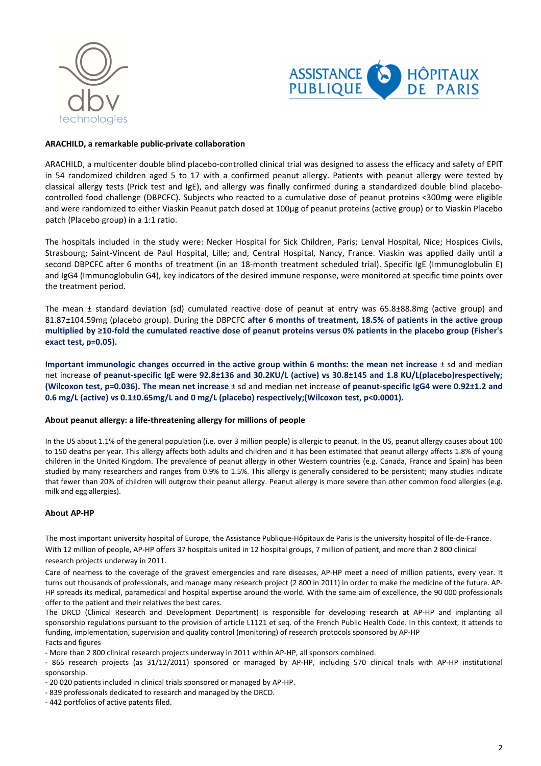



## **ARACHILD, a remarkable public-private collaboration**

ARACHILD, a multicenter double blind placebo-controlled clinical trial was designed to assess the efficacy and safety of EPIT in 54 randomized children aged 5 to 17 with a confirmed peanut allergy. Patients with peanut allergy were tested by classical allergy tests (Prick test and IgE), and allergy was finally confirmed during a standardized double blind placebocontrolled food challenge (DBPCFC). Subjects who reacted to a cumulative dose of peanut proteins <300mg were eligible and were randomized to either Viaskin Peanut patch dosed at 100µg of peanut proteins (active group) or to Viaskin Placebo patch (Placebo group) in a 1:1 ratio.

The hospitals included in the study were: Necker Hospital for Sick Children, Paris; Lenval Hospital, Nice; Hospices Civils, Strasbourg; Saint-Vincent de Paul Hospital, Lille; and, Central Hospital, Nancy, France. Viaskin was applied daily until a second DBPCFC after 6 months of treatment (in an 18-month treatment scheduled trial). Specific IgE (Immunoglobulin E) and IgG4 (Immunoglobulin G4), key indicators of the desired immune response, were monitored at specific time points over the treatment period.

The mean ± standard deviation (sd) cumulated reactive dose of peanut at entry was 65.8±88.8mg (active group) and 81.87±104.59mg (placebo group). During the DBPCFC **after 6 months of treatment, 18.5% of patients in the active group multiplied by ≥10-fold the cumulated reactive dose of peanut proteins versus 0% patients in the placebo group (Fisher's exact test, p=0.05).**

**Important immunologic changes occurred in the active group within 6 months: the mean net increase** ± sd and median net increase **of peanut-specific IgE were 92.8±136 and 30.2KU/L (active) vs 30.8±145 and 1.8 KU/L(placebo)respectively; (Wilcoxon test, p=0.036). The mean net increase** ± sd and median net increase **of peanut-specific IgG4 were 0.92±1.2 and 0.6 mg/L (active) vs 0.1±0.65mg/L and 0 mg/L (placebo) respectively;(Wilcoxon test, p<0.0001).** 

#### **About peanut allergy: a life-threatening allergy for millions of people**

In the US about 1.1% of the general population (i.e. over 3 million people) is allergic to peanut. In the US, peanut allergy causes about 100 to 150 deaths per year. This allergy affects both adults and children and it has been estimated that peanut allergy affects 1.8% of young children in the United Kingdom. The prevalence of peanut allergy in other Western countries (e.g. Canada, France and Spain) has been studied by many researchers and ranges from 0.9% to 1.5%. This allergy is generally considered to be persistent; many studies indicate that fewer than 20% of children will outgrow their peanut allergy. Peanut allergy is more severe than other common food allergies (e.g. milk and egg allergies).

## **About AP-HP**

The most important university hospital of Europe, the Assistance Publique-Hôpitaux de Paris is the university hospital of Ile-de-France.

With 12 million of people, AP-HP offers 37 hospitals united in 12 hospital groups, 7 million of patient, and more than 2 800 clinical research projects underway in 2011.

Care of nearness to the coverage of the gravest emergencies and rare diseases, AP-HP meet a need of million patients, every year. It turns out thousands of professionals, and manage many research project (2 800 in 2011) in order to make the medicine of the future. AP-HP spreads its medical, paramedical and hospital expertise around the world. With the same aim of excellence, the 90 000 professionals offer to the patient and their relatives the best cares.

The DRCD (Clinical Research and Development Department) is responsible for developing research at AP-HP and implanting all sponsorship regulations pursuant to the provision of article L1121 et seq. of the French Public Health Code. In this context, it attends to funding, implementation, supervision and quality control (monitoring) of research protocols sponsored by AP-HP Facts and figures

- More than 2 800 clinical research projects underway in 2011 within AP-HP, all sponsors combined.

- 865 research projects (as 31/12/2011) sponsored or managed by AP-HP, including 570 clinical trials with AP-HP institutional sponsorship.

- 20 020 patients included in clinical trials sponsored or managed by AP-HP.

- 839 professionals dedicated to research and managed by the DRCD.

- 442 portfolios of active patents filed.